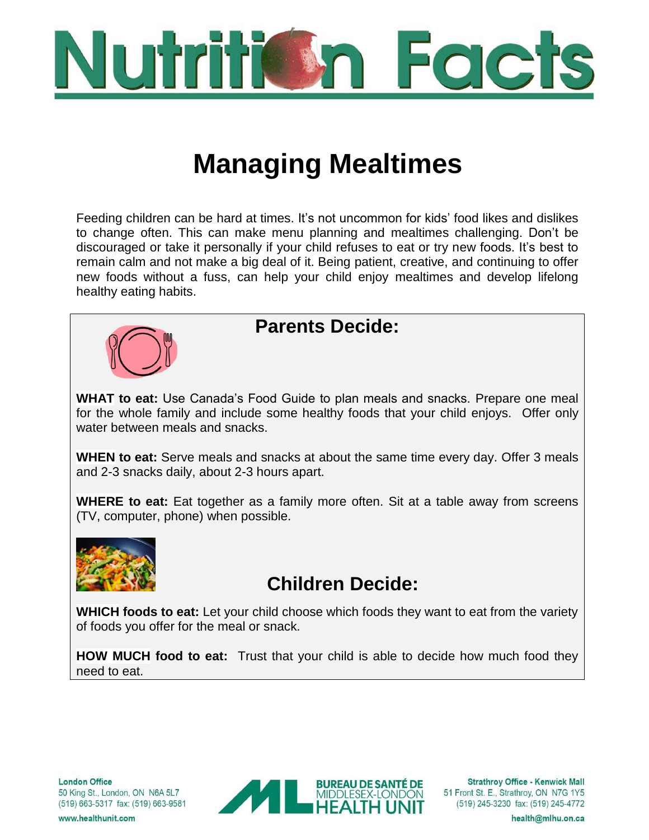

# **Managing Mealtimes**

Feeding children can be hard at times. It's not uncommon for kids' food likes and dislikes to change often. This can make menu planning and mealtimes challenging. Don't be discouraged or take it personally if your child refuses to eat or try new foods. It's best to remain calm and not make a big deal of it. Being patient, creative, and continuing to offer new foods without a fuss, can help your child enjoy mealtimes and develop lifelong healthy eating habits.



### **Parents Decide:**

**WHAT to eat:** Use Canada's Food Guide to plan meals and snacks. Prepare one meal for the whole family and include some healthy foods that your child enjoys. Offer only water between meals and snacks.

**WHEN to eat:** Serve meals and snacks at about the same time every day. Offer 3 meals and 2-3 snacks daily, about 2-3 hours apart.

**WHERE to eat:** Eat together as a family more often. Sit at a table away from screens (TV, computer, phone) when possible.



# **Children Decide:**

**WHICH foods to eat:** Let your child choose which foods they want to eat from the variety of foods you offer for the meal or snack.

**HOW MUCH food to eat:** Trust that your child is able to decide how much food they need to eat.



**Strathroy Office - Kenwick Mall** 51 Front St. E., Strathroy, ON N7G 1Y5 (519) 245-3230 fax: (519) 245-4772